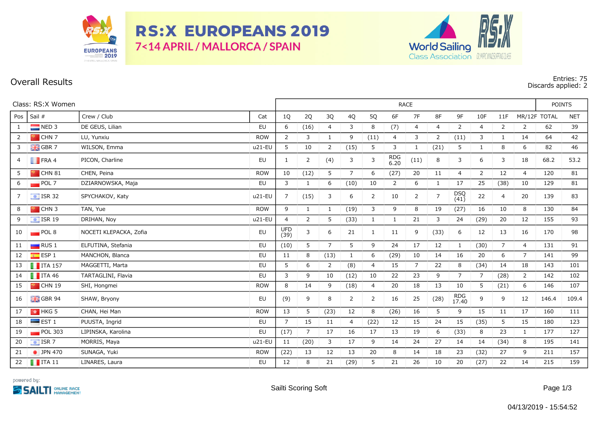

**RS:X EUROPEANS 2019** 7<14 APRIL / MALLORCA / SPAIN



## **Overall Results Entries: 75 Discards applied: 2**

| Class: RS:X Women |                            |                        |            |                | <b>RACE</b>    |                |                |                |                    |                |                |                     |                |                |                |              | <b>POINTS</b> |  |
|-------------------|----------------------------|------------------------|------------|----------------|----------------|----------------|----------------|----------------|--------------------|----------------|----------------|---------------------|----------------|----------------|----------------|--------------|---------------|--|
| Pos               | Sail #                     | Crew / Club            | Cat        | 1Q             | 2Q             | 3Q             | 4Q             | 5Q             | 6F                 | 7F             | 8F             | 9F                  | 10F            | 11F            |                | MR/12F TOTAL | <b>NET</b>    |  |
| 1                 | $NED$ 3                    | DE GEUS, Lilian        | <b>EU</b>  | 6              | (16)           | $\overline{4}$ | 3              | 8              | (7)                | $\overline{4}$ | $\overline{4}$ | $\overline{2}$      | 4              | $\overline{2}$ | 2              | 62           | 39            |  |
| 2                 | $\blacksquare$ CHN 7       | LU, Yunxiu             | <b>ROW</b> | 2              | 3              | $\mathbf{1}$   | 9              | (11)           | 4                  | 3              | $\overline{2}$ | (11)                | 3              | $\mathbf{1}$   | 14             | 64           | 42            |  |
| 3                 | $\frac{1}{2}$ GBR 7        | WILSON, Emma           | u21-EU     | 5              | 10             | 2              | (15)           | 5              | 3                  | 1              | (21)           | 5                   | 1              | 8              | 6              | 82           | 46            |  |
| 4                 | $\blacksquare$ FRA 4       | PICON, Charline        | EU         | 1              | 2              | (4)            | 3              | 3              | <b>RDG</b><br>6.20 | (11)           | 8              | 3                   | 6              | 3              | 18             | 68.2         | 53.2          |  |
| 5                 | <b>P</b> CHN 81            | CHEN, Peina            | <b>ROW</b> | 10             | (12)           | 5              | $\overline{7}$ | 6              | (27)               | 20             | 11             | 4                   | $\overline{2}$ | 12             | $\overline{4}$ | 120          | 81            |  |
| 6                 | POL7                       | DZIARNOWSKA, Maja      | <b>EU</b>  | 3              | $\mathbf{1}$   | 6              | (10)           | 10             | $\overline{2}$     | 6              | $\mathbf{1}$   | 17                  | 25             | (38)           | 10             | 129          | 81            |  |
| 7                 | $\boxed{\div}$ ISR 32      | SPYCHAKOV, Katy        | u21-EU     | 7              | (15)           | 3              | 6              | $\overline{2}$ | 10                 | $\overline{2}$ | $\overline{7}$ | DSQ<br>(41)         | 22             | 4              | 20             | 139          | 83            |  |
| 8                 | $\blacksquare$ CHN 3       | TAN, Yue               | <b>ROW</b> | 9              | 1              | 1              | (19)           | 3              | 9                  | 8              | 19             | (27)                | 16             | 10             | 8              | 130          | 84            |  |
| 9                 | $\frac{1}{2}$ ISR 19       | DRIHAN, Noy            | u21-EU     | $\overline{4}$ | 2              | 5              | (33)           | 1              | $\mathbf{1}$       | 21             | 3              | 24                  | (29)           | 20             | 12             | 155          | 93            |  |
| 10                | POL 8                      | NOCETI KLEPACKA, Zofia | EU         | UFD<br>(39)    | 3              | 6              | 21             | 1              | 11                 | 9              | (33)           | 6                   | 12             | 13             | 16             | 170          | 98            |  |
| 11                | $\Box$ RUS 1               | ELFUTINA, Stefania     | EU         | (10)           | 5              | $\overline{7}$ | 5              | 9              | 24                 | 17             | 12             | $\mathbf{1}$        | (30)           | $\overline{7}$ | $\overline{4}$ | 131          | 91            |  |
| 12                | $\overline{\bullet}$ ESP 1 | MANCHON, Blanca        | <b>EU</b>  | 11             | 8              | (13)           | $1\,$          | 6              | (29)               | 10             | 14             | 16                  | 20             | 6              | $\overline{7}$ | 141          | 99            |  |
| 13                | $\blacksquare$ ITA 157     | MAGGETTI, Marta        | <b>EU</b>  | 5              | 6              | 2              | (8)            | $\overline{4}$ | 15                 | $\overline{7}$ | 22             | 8                   | (34)           | 14             | 18             | 143          | 101           |  |
| 14                | $\blacksquare$ ITA 46      | TARTAGLINI, Flavia     | EU         | 3              | 9              | 10             | (12)           | 10             | 22                 | 23             | 9              | $\overline{7}$      | 7              | (28)           | 2              | 142          | 102           |  |
| 15                | $\blacksquare$ CHN 19      | SHI, Hongmei           | <b>ROW</b> | 8              | 14             | 9              | (18)           | $\overline{4}$ | 20                 | 18             | 13             | 10                  | 5              | (21)           | 6              | 146          | 107           |  |
| 16                | $\frac{1}{2}$ GBR 94       | SHAW, Bryony           | EU         | (9)            | 9              | 8              | $\overline{2}$ | $\overline{2}$ | 16                 | 25             | (28)           | <b>RDG</b><br>17.40 | 9              | 9              | 12             | 146.4        | 109.4         |  |
| 17                | $\frac{1}{2}$ HKG 5        | CHAN, Hei Man          | <b>ROW</b> | 13             | 5              | (23)           | 12             | 8              | (26)               | 16             | 5              | 9                   | 15             | 11             | 17             | 160          | 111           |  |
| 18                | $\blacksquare$ EST 1       | PUUSTA, Ingrid         | EU         | $\overline{7}$ | 15             | 11             | 4              | (22)           | 12                 | 15             | 24             | 15                  | (35)           | 5              | 15             | 180          | 123           |  |
| 19                | $POL$ 303                  | LIPINSKA, Karolina     | <b>EU</b>  | (17)           | $\overline{7}$ | 17             | 16             | 17             | 13                 | 19             | 6              | (33)                | 8              | 23             | 1              | 177          | 127           |  |
| 20                | $\equiv$ ISR 7             | MORRIS, Maya           | u21-EU     | 11             | (20)           | 3              | 17             | 9              | 14                 | 24             | 27             | 14                  | 14             | (34)           | 8              | 195          | 141           |  |
| 21                | • JPN 470                  | SUNAGA, Yuki           | <b>ROW</b> | (22)           | 13             | 12             | 13             | 20             | 8                  | 14             | 18             | 23                  | (32)           | 27             | 9              | 211          | 157           |  |
| 22                | $\blacksquare$ ITA 11      | LINARES, Laura         | EU         | 12             | 8              | 21             | (29)           | 5              | 21                 | 26             | 10             | 20                  | (27)           | 22             | 14             | 215          | 159           |  |

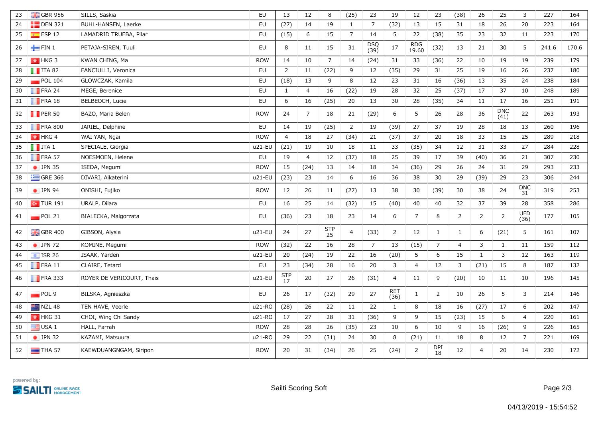| 23 | GBR 956                | SILLS, Saskia             | EU         | 13             | 12             | 8              | (25)           | 23                 | 19                 | 12                  | 23               | (38)           | 26             | 25                 | 3                  | 227   | 164   |
|----|------------------------|---------------------------|------------|----------------|----------------|----------------|----------------|--------------------|--------------------|---------------------|------------------|----------------|----------------|--------------------|--------------------|-------|-------|
| 24 | $E$ DEN 321            | BUHL-HANSEN, Laerke       | EU         | (27)           | 14             | 19             | $\mathbf{1}$   | $\overline{7}$     | (32)               | 13                  | 15               | 31             | 18             | 26                 | 20                 | 223   | 164   |
| 25 | ESP 12                 | LAMADRID TRUEBA, Pilar    | <b>EU</b>  | (15)           | 6              | 15             | $\overline{7}$ | 14                 | 5                  | 22                  | (38)             | 35             | 23             | 32                 | 11                 | 223   | 170   |
| 26 | $-$ FIN 1              | PETAJA-SIREN, Tuuli       | <b>EU</b>  | 8              | 11             | 15             | 31             | <b>DSQ</b><br>(39) | 17                 | <b>RDG</b><br>19.60 | (32)             | 13             | 21             | 30                 | 5                  | 241.6 | 170.6 |
| 27 | $\frac{1}{2}$ HKG 3    | KWAN CHING, Ma            | <b>ROW</b> | 14             | 10             | $\overline{7}$ | 14             | (24)               | 31                 | 33                  | (36)             | 22             | 10             | 19                 | 19                 | 239   | 179   |
| 28 | $\blacksquare$ ITA 82  | FANCIULLI, Veronica       | EU         | $\overline{2}$ | 11             | (22)           | 9              | 12                 | (35)               | 29                  | 31               | 25             | 19             | 16                 | 26                 | 237   | 180   |
| 29 | $\blacksquare$ POL 104 | GLOWCZAK, Kamila          | EU         | (18)           | 13             | 9              | $\,8\,$        | 12                 | 23                 | 31                  | 16               | (36)           | 13             | 35                 | 24                 | 238   | 184   |
| 30 | $\blacksquare$ FRA 24  | MEGE, Berenice            | EU         | $\mathbf{1}$   | 4              | 16             | (22)           | 19                 | 28                 | 32                  | 25               | (37)           | 17             | 37                 | 10                 | 248   | 189   |
| 31 | $\blacksquare$ FRA 18  | BELBEOCH, Lucie           | EU         | $6\,$          | 16             | (25)           | 20             | 13                 | $30\,$             | 28                  | (35)             | 34             | 11             | $17\,$             | 16                 | 251   | 191   |
| 32 | $\blacksquare$ PER 50  | BAZO, Maria Belen         | <b>ROW</b> | 24             | 7              | 18             | 21             | (29)               | 6                  | 5                   | 26               | 28             | 36             | <b>DNC</b><br>(41) | 22                 | 263   | 193   |
| 33 | $\blacksquare$ FRA 800 | JARIEL, Delphine          | EU         | 14             | 19             | (25)           | $\overline{2}$ | 19                 | (39)               | 27                  | 37               | 19             | 28             | 18                 | 13                 | 260   | 196   |
| 34 | $\frac{1}{2}$ HKG 4    | WAI YAN, Ngai             | <b>ROW</b> | $\overline{4}$ | 18             | 27             | (34)           | 21                 | (37)               | 37                  | 20               | 18             | 33             | 15                 | 25                 | 289   | 218   |
| 35 | $\blacksquare$ ITA 1   | SPECIALE, Giorgia         | u21-EU     | (21)           | 19             | 10             | 18             | 11                 | 33                 | (35)                | 34               | 12             | 31             | 33                 | 27                 | 284   | 228   |
| 36 | $\blacksquare$ FRA 57  | NOESMOEN, Helene          | EU         | 19             | $\overline{4}$ | 12             | (37)           | 18                 | 25                 | 39                  | 17               | 39             | (40)           | 36                 | 21                 | 307   | 230   |
| 37 | $\bullet$ JPN 35       | ISEDA, Megumi             | <b>ROW</b> | 15             | (24)           | 13             | 14             | 18                 | 34                 | (36)                | 29               | 26             | 24             | 31                 | 29                 | 293   | 233   |
| 38 | $\equiv$ GRE 366       | DIVARI, Aikaterini        | u21-EU     | (23)           | 23             | 14             | 6              | 16                 | 36                 | 38                  | 30               | 29             | (39)           | 29                 | 23                 | 306   | 244   |
| 39 | $\bullet$ JPN 94       | ONISHI, Fujiko            | <b>ROW</b> | 12             | 26             | 11             | (27)           | 13                 | 38                 | 30                  | (39)             | 30             | 38             | 24                 | <b>DNC</b><br>31   | 319   | 253   |
| 40 | $\sim$ TUR 191         | URALP, Dilara             | <b>EU</b>  | 16             | 25             | 14             | (32)           | 15                 | (40)               | 40                  | 40               | 32             | 37             | 39                 | 28                 | 358   | 286   |
| 41 | $\blacksquare$ POL 21  | BIALECKA, Malgorzata      | EU         | (36)           | 23             | 18             | 23             | 14                 | 6                  | 7                   | 8                | $\overline{2}$ | $\overline{2}$ | 2                  | <b>UFD</b><br>(36) | 177   | 105   |
| 42 | $\frac{1}{26}$ GBR 400 | GIBSON, Alysia            | u21-EU     | 24             | 27             | STP<br>25      | $\overline{4}$ | (33)               | $\overline{2}$     | 12                  | $\mathbf{1}$     | $\mathbf{1}$   | 6              | (21)               | 5                  | 161   | 107   |
| 43 | $\bullet$ JPN 72       | KOMINE, Megumi            | <b>ROW</b> | (32)           | 22             | 16             | 28             | $\overline{7}$     | 13                 | (15)                | $\overline{7}$   | $\overline{4}$ | 3              | $\mathbf{1}$       | 11                 | 159   | 112   |
| 44 | $\equiv$ ISR 26        | ISAAK, Yarden             | u21-EU     | 20             | (24)           | 19             | 22             | 16                 | (20)               | 5                   | 6                | 15             | $\mathbf{1}$   | $\mathsf{3}$       | 12                 | 163   | 119   |
| 45 | $\blacksquare$ FRA 11  | CLAIRE, Tetard            | EU         | 23             | (34)           | 28             | 16             | 20                 | 3                  | $\overline{4}$      | 12               | $\mathbf{3}$   | (21)           | 15                 | $\,8\,$            | 187   | 132   |
| 46 | $\blacksquare$ FRA 333 | ROYER DE VERICOURT, Thais | $u21-EU$   | $5TP$<br>$17$  | $20\,$         | 27             | 26             | (31)               | 4                  | 11                  | 9                | (20)           | 10             | 11                 | 10                 | 196   | 145   |
| 47 | $\blacksquare$ POL 9   | BILSKA, Agnieszka         | EU         | 26             | 17             | (32)           | 29             | 27                 | <b>RET</b><br>(36) | $\mathbf{1}$        | 2                | 10             | 26             | 5                  | 3                  | 214   | 146   |
| 48 | NZL 48                 | TEN HAVE, Veerle          | u21-RO     | (28)           | 26             | 22             | 11             | 22                 | $\mathbf{1}$       | 8                   | 18               | 16             | (27)           | 17                 | $\boldsymbol{6}$   | 202   | 147   |
| 49 | $\frac{1}{2}$ HKG 31   | CHOI, Wing Chi Sandy      | u21-RO     | 17             | 27             | 28             | 31             | (36)               | 9                  | 9                   | 15               | (23)           | 15             | 6                  | $\overline{4}$     | 220   | 161   |
| 50 | $\blacksquare$ USA 1   | HALL, Farrah              | <b>ROW</b> | 28             | 28             | 26             | (35)           | 23                 | $10\,$             | 6                   | 10               | 9              | 16             | (26)               | 9                  | 226   | 165   |
| 51 | $\bullet$ JPN 32       | KAZAMI, Matsuura          | u21-RO     | 29             | 22             | (31)           | 24             | 30                 | 8                  | (21)                | 11               | 18             | 8              | 12                 | 7                  | 221   | 169   |
| 52 | $\blacksquare$ THA 57  | KAEWDUANGNGAM, Siripon    | <b>ROW</b> | 20             | 31             | (34)           | 26             | 25                 | (24)               | $\mathbf 2$         | <b>DPI</b><br>18 | 12             | 4              | 20                 | 14                 | 230   | 172   |